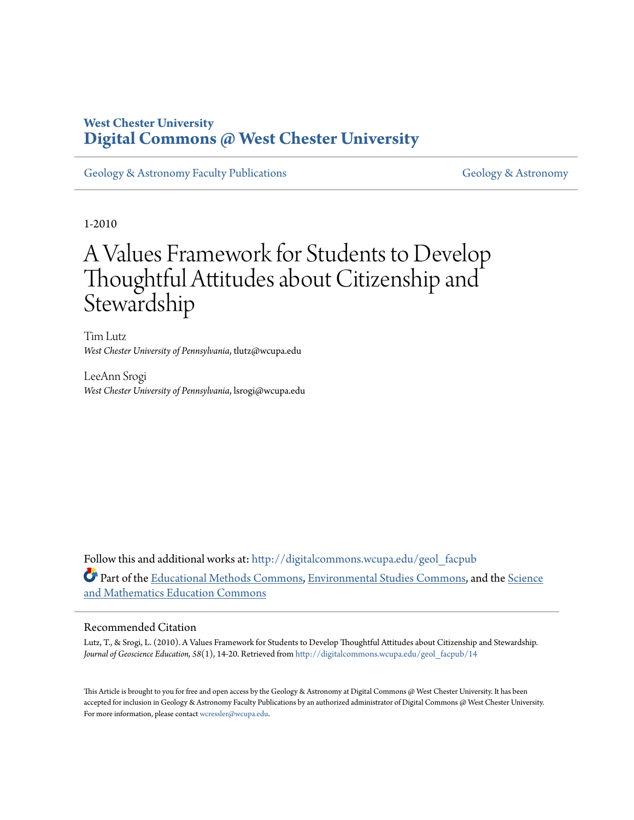# **West Chester University [Digital Commons @ West Chester University](http://digitalcommons.wcupa.edu?utm_source=digitalcommons.wcupa.edu%2Fgeol_facpub%2F14&utm_medium=PDF&utm_campaign=PDFCoverPages)**

[Geology & Astronomy Faculty Publications](http://digitalcommons.wcupa.edu/geol_facpub?utm_source=digitalcommons.wcupa.edu%2Fgeol_facpub%2F14&utm_medium=PDF&utm_campaign=PDFCoverPages) [Geology & Astronomy](http://digitalcommons.wcupa.edu/geol?utm_source=digitalcommons.wcupa.edu%2Fgeol_facpub%2F14&utm_medium=PDF&utm_campaign=PDFCoverPages)

1-2010

# A Values Framework for Students to Develop Thoughtful Attitudes about Citizenship and **Stewardship**

Tim Lutz *West Chester University of Pennsylvania*, tlutz@wcupa.edu

LeeAnn Srogi *West Chester University of Pennsylvania*, lsrogi@wcupa.edu

Follow this and additional works at: [http://digitalcommons.wcupa.edu/geol\\_facpub](http://digitalcommons.wcupa.edu/geol_facpub?utm_source=digitalcommons.wcupa.edu%2Fgeol_facpub%2F14&utm_medium=PDF&utm_campaign=PDFCoverPages) Part of the [Educational Methods Commons,](http://network.bepress.com/hgg/discipline/1227?utm_source=digitalcommons.wcupa.edu%2Fgeol_facpub%2F14&utm_medium=PDF&utm_campaign=PDFCoverPages) [Environmental Studies Commons,](http://network.bepress.com/hgg/discipline/1333?utm_source=digitalcommons.wcupa.edu%2Fgeol_facpub%2F14&utm_medium=PDF&utm_campaign=PDFCoverPages) and the [Science](http://network.bepress.com/hgg/discipline/800?utm_source=digitalcommons.wcupa.edu%2Fgeol_facpub%2F14&utm_medium=PDF&utm_campaign=PDFCoverPages) [and Mathematics Education Commons](http://network.bepress.com/hgg/discipline/800?utm_source=digitalcommons.wcupa.edu%2Fgeol_facpub%2F14&utm_medium=PDF&utm_campaign=PDFCoverPages)

#### Recommended Citation

Lutz, T., & Srogi, L. (2010). A Values Framework for Students to Develop Thoughtful Attitudes about Citizenship and Stewardship. *Journal of Geoscience Education, 58*(1), 14-20. Retrieved from [http://digitalcommons.wcupa.edu/geol\\_facpub/14](http://digitalcommons.wcupa.edu/geol_facpub/14?utm_source=digitalcommons.wcupa.edu%2Fgeol_facpub%2F14&utm_medium=PDF&utm_campaign=PDFCoverPages)

This Article is brought to you for free and open access by the Geology & Astronomy at Digital Commons @ West Chester University. It has been accepted for inclusion in Geology & Astronomy Faculty Publications by an authorized administrator of Digital Commons @ West Chester University. For more information, please contact [wcressler@wcupa.edu](mailto:wcressler@wcupa.edu).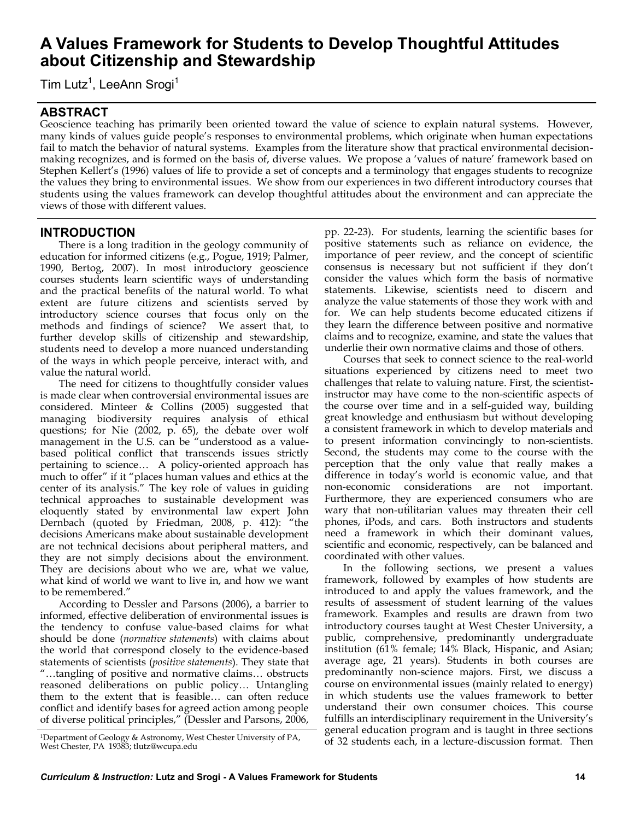# **A Values Framework for Students to Develop Thoughtful Attitudes about Citizenship and Stewardship**

Tim Lutz<sup>1</sup>, LeeAnn Srogi<sup>1</sup>

# **ABSTRACT**

Geoscience teaching has primarily been oriented toward the value of science to explain natural systems. However, many kinds of values guide people's responses to environmental problems, which originate when human expectations fail to match the behavior of natural systems. Examples from the literature show that practical environmental decisionmaking recognizes, and is formed on the basis of, diverse values. We propose a 'values of nature' framework based on Stephen Kellert's (1996) values of life to provide a set of concepts and a terminology that engages students to recognize the values they bring to environmental issues. We show from our experiences in two different introductory courses that students using the values framework can develop thoughtful attitudes about the environment and can appreciate the views of those with different values.

### **INTRODUCTION**

There is a long tradition in the geology community of education for informed citizens (e.g., Pogue, 1919; Palmer, 1990, Bertog, 2007). In most introductory geoscience courses students learn scientific ways of understanding and the practical benefits of the natural world. To what extent are future citizens and scientists served by introductory science courses that focus only on the methods and findings of science? We assert that, to further develop skills of citizenship and stewardship, students need to develop a more nuanced understanding of the ways in which people perceive, interact with, and value the natural world.

The need for citizens to thoughtfully consider values is made clear when controversial environmental issues are considered. Minteer & Collins (2005) suggested that managing biodiversity requires analysis of ethical questions; for Nie (2002, p. 65), the debate over wolf management in the U.S. can be "understood as a valuebased political conflict that transcends issues strictly pertaining to science… A policy-oriented approach has much to offer" if it "places human values and ethics at the center of its analysis." The key role of values in guiding technical approaches to sustainable development was eloquently stated by environmental law expert John Dernbach (quoted by Friedman, 2008, p.  $\overline{4}12$ ): "the decisions Americans make about sustainable development are not technical decisions about peripheral matters, and they are not simply decisions about the environment. They are decisions about who we are, what we value, what kind of world we want to live in, and how we want to be remembered."

According to Dessler and Parsons (2006), a barrier to informed, effective deliberation of environmental issues is the tendency to confuse value-based claims for what should be done (*normative statements*) with claims about the world that correspond closely to the evidence-based statements of scientists (*positive statements*). They state that ―…tangling of positive and normative claims… obstructs reasoned deliberations on public policy… Untangling them to the extent that is feasible… can often reduce conflict and identify bases for agreed action among people of diverse political principles," (Dessler and Parsons, 2006,

pp. 22-23). For students, learning the scientific bases for positive statements such as reliance on evidence, the importance of peer review, and the concept of scientific consensus is necessary but not sufficient if they don't consider the values which form the basis of normative statements. Likewise, scientists need to discern and analyze the value statements of those they work with and for. We can help students become educated citizens if they learn the difference between positive and normative claims and to recognize, examine, and state the values that underlie their own normative claims and those of others.

Courses that seek to connect science to the real-world situations experienced by citizens need to meet two challenges that relate to valuing nature. First, the scientistinstructor may have come to the non-scientific aspects of the course over time and in a self-guided way, building great knowledge and enthusiasm but without developing a consistent framework in which to develop materials and to present information convincingly to non-scientists. Second, the students may come to the course with the perception that the only value that really makes a difference in today's world is economic value, and that non-economic considerations are not important. Furthermore, they are experienced consumers who are wary that non-utilitarian values may threaten their cell phones, iPods, and cars. Both instructors and students need a framework in which their dominant values, scientific and economic, respectively, can be balanced and coordinated with other values.

In the following sections, we present a values framework, followed by examples of how students are introduced to and apply the values framework, and the results of assessment of student learning of the values framework. Examples and results are drawn from two introductory courses taught at West Chester University, a public, comprehensive, predominantly undergraduate institution (61% female; 14% Black, Hispanic, and Asian; average age, 21 years). Students in both courses are predominantly non-science majors. First, we discuss a course on environmental issues (mainly related to energy) in which students use the values framework to better understand their own consumer choices. This course fulfills an interdisciplinary requirement in the University's general education program and is taught in three sections of 32 students each, in a lecture-discussion format. Then

<sup>1</sup>Department of Geology & Astronomy, West Chester University of PA, West Chester, PA 19383; [tlutz@wcupa.edu](mailto:tlutz@wcupa.edu)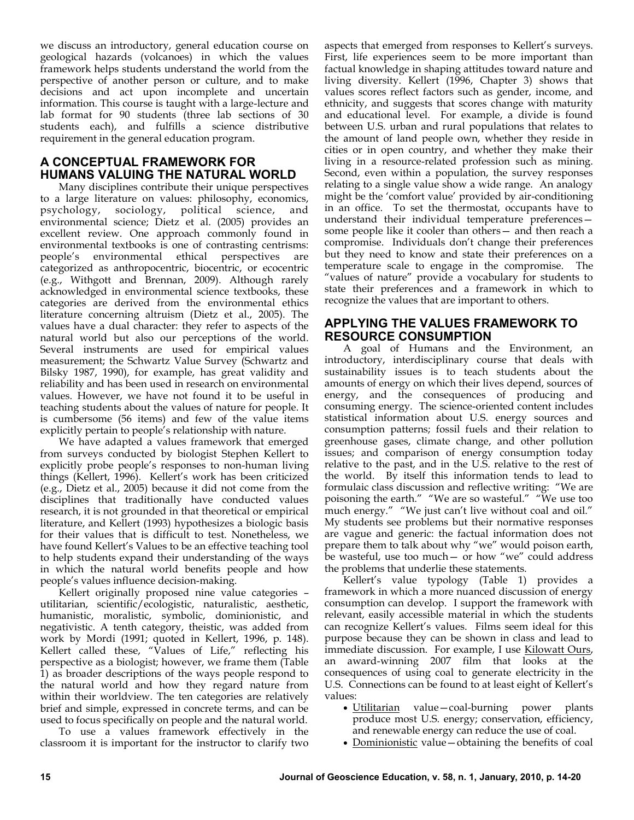we discuss an introductory, general education course on geological hazards (volcanoes) in which the values framework helps students understand the world from the perspective of another person or culture, and to make decisions and act upon incomplete and uncertain information. This course is taught with a large-lecture and lab format for 90 students (three lab sections of 30 students each), and fulfills a science distributive requirement in the general education program.

# **A CONCEPTUAL FRAMEWORK FOR HUMANS VALUING THE NATURAL WORLD**

Many disciplines contribute their unique perspectives to a large literature on values: philosophy, economics, psychology, sociology, political science, and environmental science; Dietz et al. (2005) provides an excellent review. One approach commonly found in environmental textbooks is one of contrasting centrisms: people's environmental ethical perspectives are categorized as anthropocentric, biocentric, or ecocentric (e.g., Withgott and Brennan, 2009). Although rarely acknowledged in environmental science textbooks, these categories are derived from the environmental ethics literature concerning altruism (Dietz et al., 2005). The values have a dual character: they refer to aspects of the natural world but also our perceptions of the world. Several instruments are used for empirical values measurement; the Schwartz Value Survey (Schwartz and Bilsky 1987, 1990), for example, has great validity and reliability and has been used in research on environmental values. However, we have not found it to be useful in teaching students about the values of nature for people. It is cumbersome (56 items) and few of the value items explicitly pertain to people's relationship with nature.

We have adapted a values framework that emerged from surveys conducted by biologist Stephen Kellert to explicitly probe people's responses to non-human living things (Kellert, 1996). Kellert's work has been criticized (e.g., Dietz et al., 2005) because it did not come from the disciplines that traditionally have conducted values research, it is not grounded in that theoretical or empirical literature, and Kellert (1993) hypothesizes a biologic basis for their values that is difficult to test. Nonetheless, we have found Kellert's Values to be an effective teaching tool to help students expand their understanding of the ways in which the natural world benefits people and how people's values influence decision-making.

Kellert originally proposed nine value categories – utilitarian, scientific/ecologistic, naturalistic, aesthetic, humanistic, moralistic, symbolic, dominionistic, and negativistic. A tenth category, theistic, was added from work by Mordi (1991; quoted in Kellert, 1996, p. 148). Kellert called these, "Values of Life," reflecting his perspective as a biologist; however, we frame them (Table 1) as broader descriptions of the ways people respond to the natural world and how they regard nature from within their worldview. The ten categories are relatively brief and simple, expressed in concrete terms, and can be used to focus specifically on people and the natural world.

To use a values framework effectively in the classroom it is important for the instructor to clarify two

aspects that emerged from responses to Kellert's surveys. First, life experiences seem to be more important than factual knowledge in shaping attitudes toward nature and living diversity. Kellert (1996, Chapter 3) shows that values scores reflect factors such as gender, income, and ethnicity, and suggests that scores change with maturity and educational level. For example, a divide is found between U.S. urban and rural populations that relates to the amount of land people own, whether they reside in cities or in open country, and whether they make their living in a resource-related profession such as mining. Second, even within a population, the survey responses relating to a single value show a wide range. An analogy might be the 'comfort value' provided by air-conditioning in an office. To set the thermostat, occupants have to understand their individual temperature preferences some people like it cooler than others— and then reach a compromise. Individuals don't change their preferences but they need to know and state their preferences on a temperature scale to engage in the compromise. The ―values of nature‖ provide a vocabulary for students to state their preferences and a framework in which to recognize the values that are important to others.

### **APPLYING THE VALUES FRAMEWORK TO RESOURCE CONSUMPTION**

A goal of Humans and the Environment, an introductory, interdisciplinary course that deals with sustainability issues is to teach students about the amounts of energy on which their lives depend, sources of energy, and the consequences of producing and consuming energy. The science-oriented content includes statistical information about U.S. energy sources and consumption patterns; fossil fuels and their relation to greenhouse gases, climate change, and other pollution issues; and comparison of energy consumption today relative to the past, and in the U.S. relative to the rest of the world. By itself this information tends to lead to formulaic class discussion and reflective writing: "We are poisoning the earth." "We are so wasteful." "We use too much energy." "We just can't live without coal and oil." My students see problems but their normative responses are vague and generic: the factual information does not prepare them to talk about why "we" would poison earth, be wasteful, use too much - or how "we" could address the problems that underlie these statements.

Kellert's value typology (Table 1) provides a framework in which a more nuanced discussion of energy consumption can develop. I support the framework with relevant, easily accessible material in which the students can recognize Kellert's values. Films seem ideal for this purpose because they can be shown in class and lead to immediate discussion. For example, I use Kilowatt Ours, an award-winning 2007 film that looks at the consequences of using coal to generate electricity in the U.S. Connections can be found to at least eight of Kellert's values:

- Utilitarian value—coal-burning power plants produce most U.S. energy; conservation, efficiency, and renewable energy can reduce the use of coal.
- Dominionistic value—obtaining the benefits of coal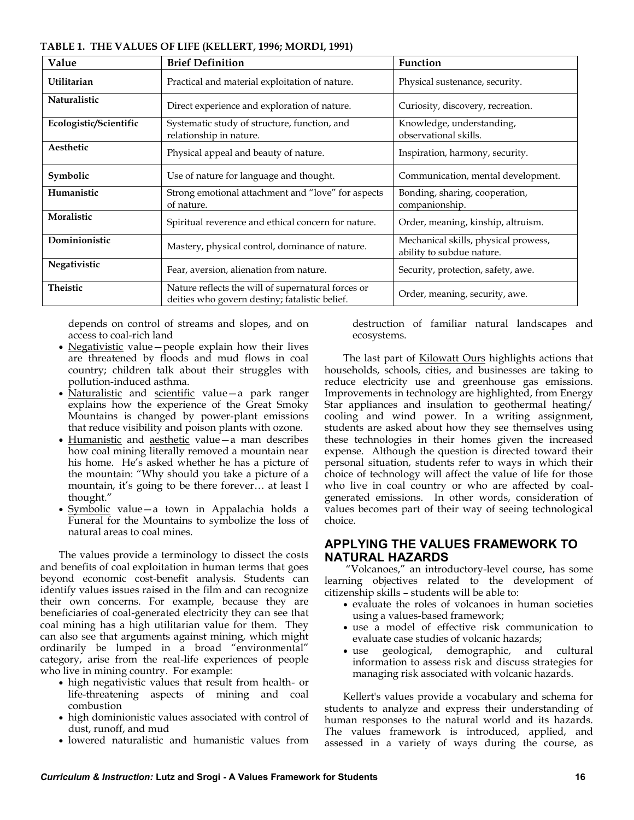| Value                  | <b>Brief Definition</b>                                                                              | Function                                                          |  |
|------------------------|------------------------------------------------------------------------------------------------------|-------------------------------------------------------------------|--|
| Utilitarian            | Practical and material exploitation of nature.                                                       | Physical sustenance, security.                                    |  |
| Naturalistic           | Direct experience and exploration of nature.                                                         | Curiosity, discovery, recreation.                                 |  |
| Ecologistic/Scientific | Systematic study of structure, function, and<br>relationship in nature.                              | Knowledge, understanding,<br>observational skills.                |  |
| Aesthetic              | Physical appeal and beauty of nature.                                                                | Inspiration, harmony, security.                                   |  |
| Symbolic               | Use of nature for language and thought.                                                              | Communication, mental development.                                |  |
| Humanistic             | Strong emotional attachment and "love" for aspects<br>of nature.                                     | Bonding, sharing, cooperation,<br>companionship.                  |  |
| Moralistic             | Spiritual reverence and ethical concern for nature.                                                  | Order, meaning, kinship, altruism.                                |  |
| Dominionistic          | Mastery, physical control, dominance of nature.                                                      | Mechanical skills, physical prowess,<br>ability to subdue nature. |  |
| Negativistic           | Fear, aversion, alienation from nature.                                                              | Security, protection, safety, awe.                                |  |
| <b>Theistic</b>        | Nature reflects the will of supernatural forces or<br>deities who govern destiny; fatalistic belief. | Order, meaning, security, awe.                                    |  |

**TABLE 1. THE VALUES OF LIFE (KELLERT, 1996; MORDI, 1991)**

depends on control of streams and slopes, and on access to coal-rich land

- Negativistic value—people explain how their lives are threatened by floods and mud flows in coal country; children talk about their struggles with pollution-induced asthma.
- Naturalistic and scientific value-a park ranger explains how the experience of the Great Smoky Mountains is changed by power-plant emissions that reduce visibility and poison plants with ozone.
- Humanistic and aesthetic value—a man describes how coal mining literally removed a mountain near his home. He's asked whether he has a picture of the mountain: "Why should you take a picture of a mountain, it's going to be there forever… at least I thought.‖
- Symbolic value—a town in Appalachia holds a Funeral for the Mountains to symbolize the loss of natural areas to coal mines.

The values provide a terminology to dissect the costs and benefits of coal exploitation in human terms that goes beyond economic cost-benefit analysis. Students can identify values issues raised in the film and can recognize their own concerns. For example, because they are beneficiaries of coal-generated electricity they can see that coal mining has a high utilitarian value for them. They can also see that arguments against mining, which might ordinarily be lumped in a broad "environmental" category, arise from the real-life experiences of people who live in mining country. For example:

- high negativistic values that result from health- or life-threatening aspects of mining and coal combustion
- high dominionistic values associated with control of dust, runoff, and mud
- lowered naturalistic and humanistic values from

destruction of familiar natural landscapes and ecosystems.

The last part of **Kilowatt Ours** highlights actions that households, schools, cities, and businesses are taking to reduce electricity use and greenhouse gas emissions. Improvements in technology are highlighted, from Energy Star appliances and insulation to geothermal heating/ cooling and wind power. In a writing assignment, students are asked about how they see themselves using these technologies in their homes given the increased expense. Although the question is directed toward their personal situation, students refer to ways in which their choice of technology will affect the value of life for those who live in coal country or who are affected by coalgenerated emissions. In other words, consideration of values becomes part of their way of seeing technological choice.

#### **APPLYING THE VALUES FRAMEWORK TO NATURAL HAZARDS**

―Volcanoes,‖ an introductory-level course, has some learning objectives related to the development of citizenship skills – students will be able to:

- evaluate the roles of volcanoes in human societies using a values-based framework;
- use a model of effective risk communication to evaluate case studies of volcanic hazards;
- use geological, demographic, and cultural information to assess risk and discuss strategies for managing risk associated with volcanic hazards.

Kellert's values provide a vocabulary and schema for students to analyze and express their understanding of human responses to the natural world and its hazards. The values framework is introduced, applied, and assessed in a variety of ways during the course, as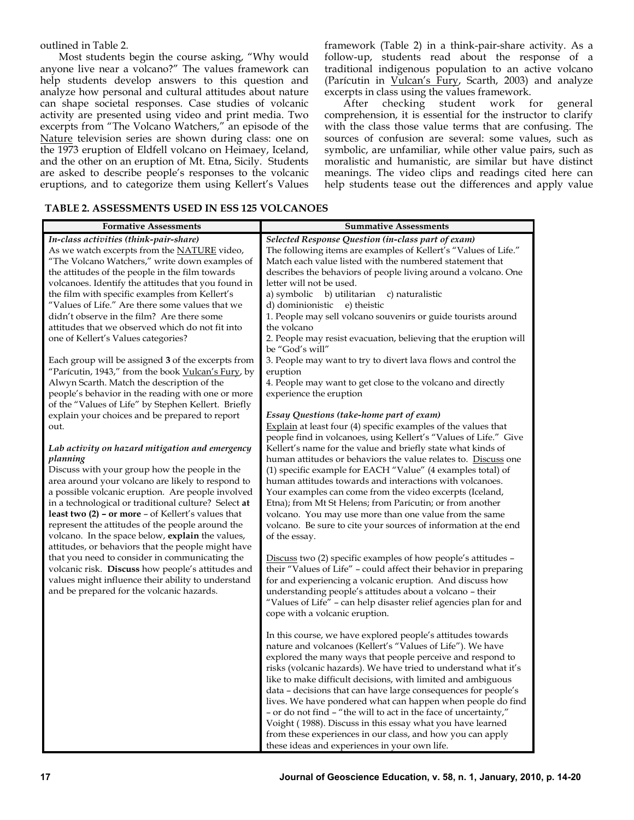outlined in Table 2.

Most students begin the course asking, "Why would anyone live near a volcano?" The values framework can help students develop answers to this question and analyze how personal and cultural attitudes about nature can shape societal responses. Case studies of volcanic activity are presented using video and print media. Two excerpts from "The Volcano Watchers," an episode of the Nature television series are shown during class: one on the 1973 eruption of Eldfell volcano on Heimaey, Iceland, and the other on an eruption of Mt. Etna, Sicily. Students are asked to describe people's responses to the volcanic eruptions, and to categorize them using Kellert's Values

framework (Table 2) in a think-pair-share activity. As a follow-up, students read about the response of a traditional indigenous population to an active volcano (Parícutin in *Vulcan's Fury*, Scarth, 2003) and analyze excerpts in class using the values framework.

After checking student work for general comprehension, it is essential for the instructor to clarify with the class those value terms that are confusing. The sources of confusion are several: some values, such as symbolic, are unfamiliar, while other value pairs, such as moralistic and humanistic, are similar but have distinct meanings. The video clips and readings cited here can help students tease out the differences and apply value

#### **TABLE 2. ASSESSMENTS USED IN ESS 125 VOLCANOES**

| <b>Formative Assessments</b>                                                                                                                                                                                                                                                                                                                                                                                                                                                                           | <b>Summative Assessments</b>                                                                                                                                                                                                                                                                                                                                                                                                                                                                                                                                                                                                                                                                                 |  |  |
|--------------------------------------------------------------------------------------------------------------------------------------------------------------------------------------------------------------------------------------------------------------------------------------------------------------------------------------------------------------------------------------------------------------------------------------------------------------------------------------------------------|--------------------------------------------------------------------------------------------------------------------------------------------------------------------------------------------------------------------------------------------------------------------------------------------------------------------------------------------------------------------------------------------------------------------------------------------------------------------------------------------------------------------------------------------------------------------------------------------------------------------------------------------------------------------------------------------------------------|--|--|
| In-class activities (think-pair-share)<br>As we watch excerpts from the <b>NATURE</b> video,<br>"The Volcano Watchers," write down examples of<br>the attitudes of the people in the film towards<br>volcanoes. Identify the attitudes that you found in<br>the film with specific examples from Kellert's<br>"Values of Life." Are there some values that we<br>didn't observe in the film? Are there some<br>attitudes that we observed which do not fit into<br>one of Kellert's Values categories? | Selected Response Question (in-class part of exam)<br>The following items are examples of Kellert's "Values of Life."<br>Match each value listed with the numbered statement that<br>describes the behaviors of people living around a volcano. One<br>letter will not be used.<br>a) symbolic<br>b) utilitarian<br>c) naturalistic<br>d) dominionistic<br>e) theistic<br>1. People may sell volcano souvenirs or guide tourists around<br>the volcano<br>2. People may resist evacuation, believing that the eruption will<br>be "God's will"                                                                                                                                                               |  |  |
| Each group will be assigned 3 of the excerpts from<br>"Parícutin, 1943," from the book Vulcan's Fury, by<br>Alwyn Scarth. Match the description of the<br>people's behavior in the reading with one or more<br>of the "Values of Life" by Stephen Kellert. Briefly                                                                                                                                                                                                                                     | 3. People may want to try to divert lava flows and control the<br>eruption<br>4. People may want to get close to the volcano and directly<br>experience the eruption                                                                                                                                                                                                                                                                                                                                                                                                                                                                                                                                         |  |  |
| explain your choices and be prepared to report<br>out.<br>Lab activity on hazard mitigation and emergency                                                                                                                                                                                                                                                                                                                                                                                              | Essay Questions (take-home part of exam)<br>Explain at least four (4) specific examples of the values that<br>people find in volcanoes, using Kellert's "Values of Life." Give<br>Kellert's name for the value and briefly state what kinds of                                                                                                                                                                                                                                                                                                                                                                                                                                                               |  |  |
| planning<br>Discuss with your group how the people in the<br>area around your volcano are likely to respond to<br>a possible volcanic eruption. Are people involved<br>in a technological or traditional culture? Select at<br>least two (2) - or more - of Kellert's values that<br>represent the attitudes of the people around the<br>volcano. In the space below, explain the values,<br>attitudes, or behaviors that the people might have                                                        | human attitudes or behaviors the value relates to. Discuss one<br>(1) specific example for EACH "Value" (4 examples total) of<br>human attitudes towards and interactions with volcanoes.<br>Your examples can come from the video excerpts (Iceland,<br>Etna); from Mt St Helens; from Parícutin; or from another<br>volcano. You may use more than one value from the same<br>volcano. Be sure to cite your sources of information at the end<br>of the essay.                                                                                                                                                                                                                                             |  |  |
| that you need to consider in communicating the<br>volcanic risk. Discuss how people's attitudes and<br>values might influence their ability to understand<br>and be prepared for the volcanic hazards.                                                                                                                                                                                                                                                                                                 | Discuss two (2) specific examples of how people's attitudes -<br>their "Values of Life" - could affect their behavior in preparing<br>for and experiencing a volcanic eruption. And discuss how<br>understanding people's attitudes about a volcano - their<br>"Values of Life" - can help disaster relief agencies plan for and<br>cope with a volcanic eruption.                                                                                                                                                                                                                                                                                                                                           |  |  |
|                                                                                                                                                                                                                                                                                                                                                                                                                                                                                                        | In this course, we have explored people's attitudes towards<br>nature and volcanoes (Kellert's "Values of Life"). We have<br>explored the many ways that people perceive and respond to<br>risks (volcanic hazards). We have tried to understand what it's<br>like to make difficult decisions, with limited and ambiguous<br>data – decisions that can have large consequences for people's<br>lives. We have pondered what can happen when people do find<br>- or do not find - "the will to act in the face of uncertainty,"<br>Voight (1988). Discuss in this essay what you have learned<br>from these experiences in our class, and how you can apply<br>these ideas and experiences in your own life. |  |  |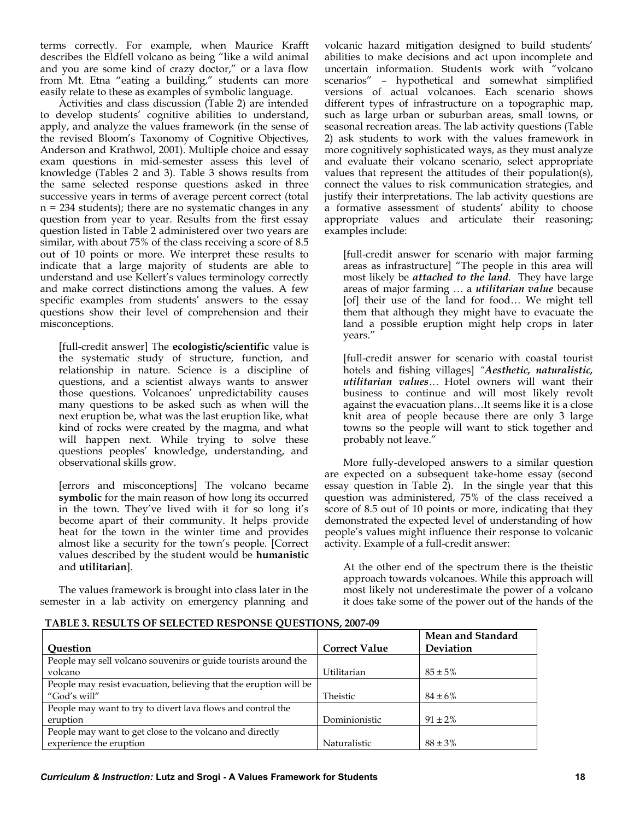terms correctly. For example, when Maurice Krafft describes the Eldfell volcano as being "like a wild animal and you are some kind of crazy doctor," or a lava flow from Mt. Etna "eating a building," students can more easily relate to these as examples of symbolic language.

Activities and class discussion (Table 2) are intended to develop students' cognitive abilities to understand, apply, and analyze the values framework (in the sense of the revised Bloom's Taxonomy of Cognitive Objectives, Anderson and Krathwol, 2001). Multiple choice and essay exam questions in mid-semester assess this level of knowledge (Tables 2 and 3). Table 3 shows results from the same selected response questions asked in three successive years in terms of average percent correct (total n = 234 students); there are no systematic changes in any question from year to year. Results from the first essay question listed in Table 2 administered over two years are similar, with about 75% of the class receiving a score of 8.5 out of 10 points or more. We interpret these results to indicate that a large majority of students are able to understand and use Kellert's values terminology correctly and make correct distinctions among the values. A few specific examples from students' answers to the essay questions show their level of comprehension and their misconceptions.

[full-credit answer] The **ecologistic/scientific** value is the systematic study of structure, function, and relationship in nature. Science is a discipline of questions, and a scientist always wants to answer those questions. Volcanoes' unpredictability causes many questions to be asked such as when will the next eruption be, what was the last eruption like, what kind of rocks were created by the magma, and what will happen next. While trying to solve these questions peoples' knowledge, understanding, and observational skills grow.

[errors and misconceptions] The volcano became **symbolic** for the main reason of how long its occurred in the town. They've lived with it for so long it's become apart of their community. It helps provide heat for the town in the winter time and provides almost like a security for the town's people. [Correct values described by the student would be **humanistic**  and **utilitarian**].

The values framework is brought into class later in the semester in a lab activity on emergency planning and

volcanic hazard mitigation designed to build students' abilities to make decisions and act upon incomplete and uncertain information. Students work with "volcano scenarios" - hypothetical and somewhat simplified versions of actual volcanoes. Each scenario shows different types of infrastructure on a topographic map, such as large urban or suburban areas, small towns, or seasonal recreation areas. The lab activity questions (Table 2) ask students to work with the values framework in more cognitively sophisticated ways, as they must analyze and evaluate their volcano scenario, select appropriate values that represent the attitudes of their population(s), connect the values to risk communication strategies, and justify their interpretations. The lab activity questions are a formative assessment of students' ability to choose appropriate values and articulate their reasoning; examples include:

[full-credit answer for scenario with major farming areas as infrastructure] "The people in this area will most likely be *attached to the land*. They have large areas of major farming … a *utilitarian value* because [of] their use of the land for food… We might tell them that although they might have to evacuate the land a possible eruption might help crops in later vears."

[full-credit answer for scenario with coastal tourist hotels and fishing villages] *"Aesthetic, naturalistic, utilitarian values…* Hotel owners will want their business to continue and will most likely revolt against the evacuation plans…It seems like it is a close knit area of people because there are only 3 large towns so the people will want to stick together and probably not leave."

More fully-developed answers to a similar question are expected on a subsequent take-home essay (second essay question in Table 2). In the single year that this question was administered, 75% of the class received a score of 8.5 out of 10 points or more, indicating that they demonstrated the expected level of understanding of how people's values might influence their response to volcanic activity. Example of a full-credit answer:

At the other end of the spectrum there is the theistic approach towards volcanoes. While this approach will most likely not underestimate the power of a volcano it does take some of the power out of the hands of the

#### **TABLE 3. RESULTS OF SELECTED RESPONSE QUESTIONS, 2007-09**

|                                                                   |                      | Mean and Standard |
|-------------------------------------------------------------------|----------------------|-------------------|
| <b>Ouestion</b>                                                   | <b>Correct Value</b> | Deviation         |
| People may sell volcano souvenirs or guide tourists around the    |                      |                   |
| volcano                                                           | Utilitarian          | $85 \pm 5\%$      |
| People may resist evacuation, believing that the eruption will be |                      |                   |
| "God's will"                                                      | Theistic             | $84 \pm 6\%$      |
| People may want to try to divert lava flows and control the       |                      |                   |
| eruption                                                          | Dominionistic        | $91 \pm 2\%$      |
| People may want to get close to the volcano and directly          |                      |                   |
| experience the eruption                                           | Naturalistic         | $88 \pm 3\%$      |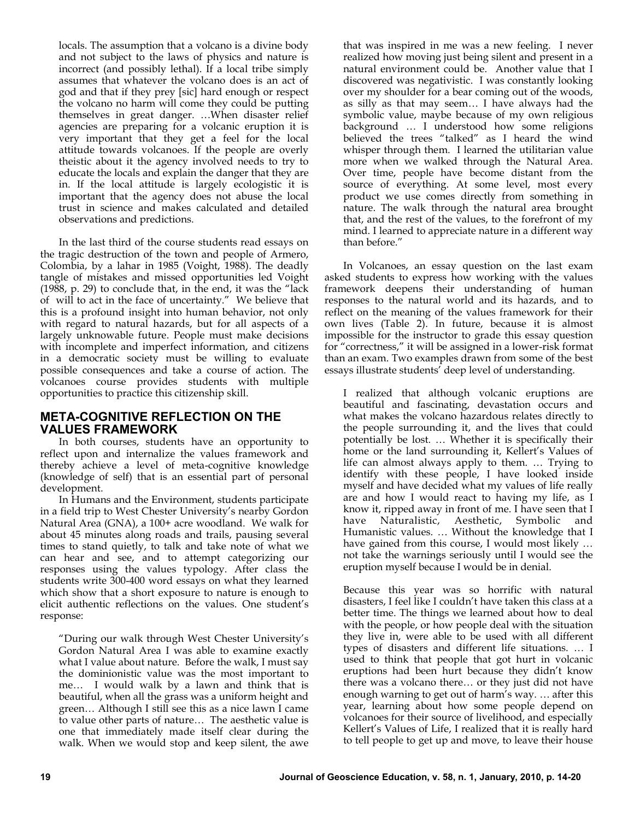locals. The assumption that a volcano is a divine body and not subject to the laws of physics and nature is incorrect (and possibly lethal). If a local tribe simply assumes that whatever the volcano does is an act of god and that if they prey [sic] hard enough or respect the volcano no harm will come they could be putting themselves in great danger. …When disaster relief agencies are preparing for a volcanic eruption it is very important that they get a feel for the local attitude towards volcanoes. If the people are overly theistic about it the agency involved needs to try to educate the locals and explain the danger that they are in. If the local attitude is largely ecologistic it is important that the agency does not abuse the local trust in science and makes calculated and detailed observations and predictions.

In the last third of the course students read essays on the tragic destruction of the town and people of Armero, Colombia, by a lahar in 1985 (Voight, 1988). The deadly tangle of mistakes and missed opportunities led Voight  $(1988, p. 29)$  to conclude that, in the end, it was the "lack" of will to act in the face of uncertainty.‖ We believe that this is a profound insight into human behavior, not only with regard to natural hazards, but for all aspects of a largely unknowable future. People must make decisions with incomplete and imperfect information, and citizens in a democratic society must be willing to evaluate possible consequences and take a course of action. The volcanoes course provides students with multiple opportunities to practice this citizenship skill.

### **META-COGNITIVE REFLECTION ON THE VALUES FRAMEWORK**

In both courses, students have an opportunity to reflect upon and internalize the values framework and thereby achieve a level of meta-cognitive knowledge (knowledge of self) that is an essential part of personal development.

In Humans and the Environment, students participate in a field trip to West Chester University's nearby Gordon Natural Area (GNA), a 100+ acre woodland. We walk for about 45 minutes along roads and trails, pausing several times to stand quietly, to talk and take note of what we can hear and see, and to attempt categorizing our responses using the values typology. After class the students write 300-400 word essays on what they learned which show that a short exposure to nature is enough to elicit authentic reflections on the values. One student's response:

―During our walk through West Chester University's Gordon Natural Area I was able to examine exactly what I value about nature. Before the walk, I must say the dominionistic value was the most important to me… I would walk by a lawn and think that is beautiful, when all the grass was a uniform height and green… Although I still see this as a nice lawn I came to value other parts of nature… The aesthetic value is one that immediately made itself clear during the walk. When we would stop and keep silent, the awe that was inspired in me was a new feeling. I never realized how moving just being silent and present in a natural environment could be. Another value that I discovered was negativistic. I was constantly looking over my shoulder for a bear coming out of the woods, as silly as that may seem… I have always had the symbolic value, maybe because of my own religious background … I understood how some religions believed the trees "talked" as I heard the wind whisper through them. I learned the utilitarian value more when we walked through the Natural Area. Over time, people have become distant from the source of everything. At some level, most every product we use comes directly from something in nature. The walk through the natural area brought that, and the rest of the values, to the forefront of my mind. I learned to appreciate nature in a different way than before."

In Volcanoes, an essay question on the last exam asked students to express how working with the values framework deepens their understanding of human responses to the natural world and its hazards, and to reflect on the meaning of the values framework for their own lives (Table 2). In future, because it is almost impossible for the instructor to grade this essay question for "correctness," it will be assigned in a lower-risk format than an exam. Two examples drawn from some of the best essays illustrate students' deep level of understanding.

I realized that although volcanic eruptions are beautiful and fascinating, devastation occurs and what makes the volcano hazardous relates directly to the people surrounding it, and the lives that could potentially be lost. … Whether it is specifically their home or the land surrounding it, Kellert's Values of life can almost always apply to them. … Trying to identify with these people, I have looked inside myself and have decided what my values of life really are and how I would react to having my life, as I know it, ripped away in front of me. I have seen that I have Naturalistic, Aesthetic, Symbolic and Humanistic values. … Without the knowledge that I have gained from this course, I would most likely … not take the warnings seriously until I would see the eruption myself because I would be in denial.

Because this year was so horrific with natural disasters, I feel like I couldn't have taken this class at a better time. The things we learned about how to deal with the people, or how people deal with the situation they live in, were able to be used with all different types of disasters and different life situations. … I used to think that people that got hurt in volcanic eruptions had been hurt because they didn't know there was a volcano there… or they just did not have enough warning to get out of harm's way. … after this year, learning about how some people depend on volcanoes for their source of livelihood, and especially Kellert's Values of Life, I realized that it is really hard to tell people to get up and move, to leave their house